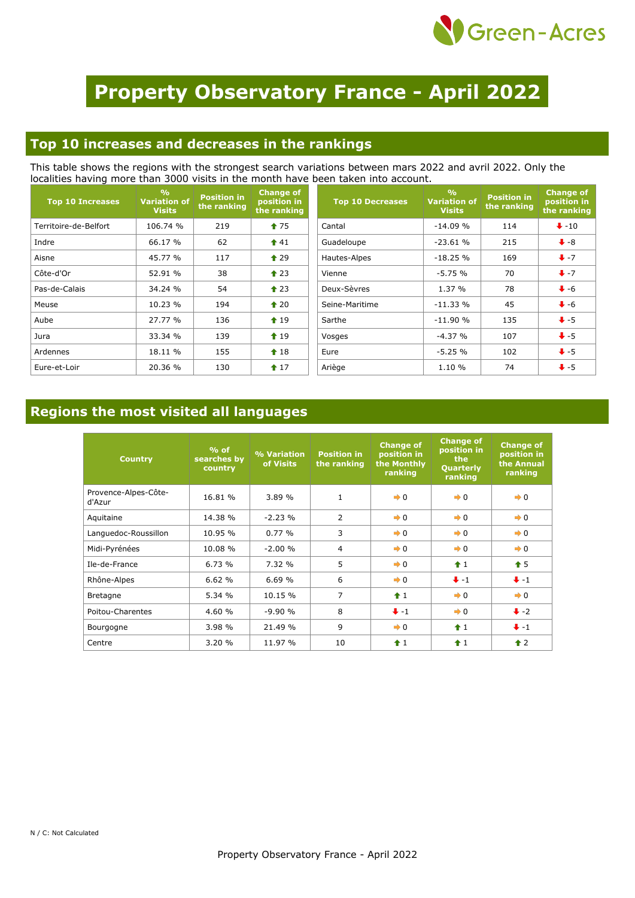

# **Property Observatory France - April 2022**

### **Top 10 increases and decreases in the rankings**

This table shows the regions with the strongest search variations between mars 2022 and avril 2022. Only the localities having more than 3000 visits in the month have been taken into account.

| <b>Top 10 Increases</b> | $\frac{9}{6}$<br><b>Variation of</b><br><b>Visits</b> | <b>Position in</b><br>the ranking | <b>Change of</b><br>position in<br>the ranking | <b>Top 10 Decreases</b> | $\frac{9}{6}$<br><b>Variation of</b><br><b>Visits</b> | <b>Position in</b><br>the ranking | <b>Change of</b><br>position in<br>the ranking |
|-------------------------|-------------------------------------------------------|-----------------------------------|------------------------------------------------|-------------------------|-------------------------------------------------------|-----------------------------------|------------------------------------------------|
| Territoire-de-Belfort   | 106.74 %                                              | 219                               | $\textcolor{blue}{\bullet}$ 75                 | Cantal                  | $-14.09%$                                             | 114                               | $\bigvee -10$                                  |
| Indre                   | 66.17 %                                               | 62                                | $\textbf{\textcolor{red}{\bullet}}$ 41         | Guadeloupe              | $-23.61%$                                             | 215                               | $\bullet$ -8                                   |
| Aisne                   | 45.77 %                                               | 117                               | $\triangle$ 29                                 | Hautes-Alpes            | $-18.25%$                                             | 169                               | $+ -7$                                         |
| Côte-d'Or               | 52.91 %                                               | 38                                | $\triangle$ 23                                 | Vienne                  | $-5.75%$                                              | 70                                | $+ -7$                                         |
| Pas-de-Calais           | 34.24 %                                               | 54                                | $\triangle$ 23                                 | Deux-Sèvres             | 1.37%                                                 | 78                                | $\big\downarrow$ -6                            |
| Meuse                   | 10.23 %                                               | 194                               | $\triangle$ 20                                 | Seine-Maritime          | $-11.33%$                                             | 45                                | $\bigvee$ -6                                   |
| Aube                    | 27.77 %                                               | 136                               | $\triangle$ 19                                 | Sarthe                  | $-11.90%$                                             | 135                               | $+5$                                           |
| Jura                    | 33.34 %                                               | 139                               | $\textcolor{blue}{\bigstar}$ 19                | Vosges                  | $-4.37%$                                              | 107                               | $\bigstar$ -5                                  |
| Ardennes                | 18.11 %                                               | 155                               | $\textcolor{blue}{\bullet}$ 18                 | Eure                    | $-5.25%$                                              | 102                               | $+5$                                           |
| Eure-et-Loir            | 20.36 %                                               | 130                               | $17$                                           | Ariège                  | 1.10 %                                                | 74                                | $+ -5$                                         |

## **Regions the most visited all languages**

| <b>Country</b>                 | $%$ of<br>searches by<br>country | % Variation<br>of Visits | <b>Position in</b><br>the ranking | <b>Change of</b><br>position in<br>the Monthly<br>ranking | <b>Change of</b><br>position in<br>the<br><b>Quarterly</b><br>ranking | <b>Change of</b><br>position in<br>the Annual<br>ranking |
|--------------------------------|----------------------------------|--------------------------|-----------------------------------|-----------------------------------------------------------|-----------------------------------------------------------------------|----------------------------------------------------------|
| Provence-Alpes-Côte-<br>d'Azur | 16.81 %                          | 3.89%                    | $\mathbf{1}$                      | $\rightarrow 0$                                           | $\rightarrow 0$                                                       | $\rightarrow 0$                                          |
| Aquitaine                      | 14.38 %                          | $-2.23%$                 | $\overline{2}$                    | $\rightarrow 0$                                           | $\rightarrow 0$                                                       | $\rightarrow 0$                                          |
| Languedoc-Roussillon           | 10.95 %                          | 0.77%                    | 3                                 | $\rightarrow 0$                                           | $\rightarrow 0$                                                       | $\rightarrow 0$                                          |
| Midi-Pyrénées                  | 10.08 %                          | $-2.00%$                 | $\overline{4}$                    | $\rightarrow 0$                                           | $\rightarrow 0$                                                       | $\rightarrow 0$                                          |
| Ile-de-France                  | 6.73%                            | 7.32 %                   | 5                                 | $\rightarrow 0$                                           | $\hat{+}1$                                                            | $\hat{\mathbf{T}}$ 5                                     |
| Rhône-Alpes                    | 6.62%                            | 6.69%                    | 6                                 | $\rightarrow 0$                                           | $+ -1$                                                                | $+ -1$                                                   |
| <b>Bretagne</b>                | 5.34%                            | 10.15 %                  | 7                                 | $\hat{+}1$                                                | $\rightarrow 0$                                                       | $\rightarrow 0$                                          |
| Poitou-Charentes               | 4.60 %                           | $-9.90%$                 | 8                                 | $+ -1$                                                    | $\rightarrow 0$                                                       | $\ddot{\bullet}$ -2                                      |
| Bourgogne                      | 3.98 %                           | 21.49 %                  | 9                                 | $\rightarrow 0$                                           | $\hat{+}1$                                                            | $+ -1$                                                   |
| Centre                         | 3.20 %                           | 11.97 %                  | 10                                | $\hat{+}1$                                                | $\hat{+}1$                                                            | $\triangle$ 2                                            |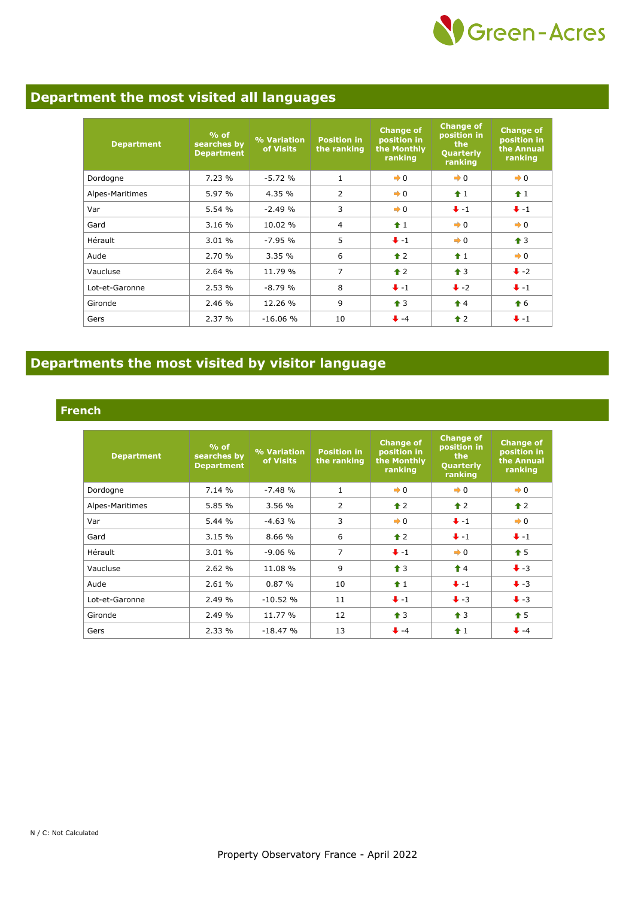

## **Department the most visited all languages**

| <b>Department</b> | $%$ of<br>searches by<br><b>Department</b> | % Variation<br>of Visits | <b>Position in</b><br>the ranking | <b>Change of</b><br>position in<br>the Monthly<br>ranking | <b>Change of</b><br>position in<br>the<br>Quarterly<br>ranking | <b>Change of</b><br>position in<br>the Annual<br>ranking |
|-------------------|--------------------------------------------|--------------------------|-----------------------------------|-----------------------------------------------------------|----------------------------------------------------------------|----------------------------------------------------------|
| Dordogne          | 7.23%                                      | $-5.72%$                 | $\mathbf{1}$                      | $\rightarrow 0$                                           | $\rightarrow 0$                                                | $\rightarrow 0$                                          |
| Alpes-Maritimes   | 5.97 %                                     | 4.35 %                   | $\overline{2}$                    | $\rightarrow 0$                                           | $+1$                                                           | $\hat{1}$                                                |
| Var               | 5.54 %                                     | $-2.49%$                 | 3                                 | $\rightarrow 0$                                           | $+ -1$                                                         | $+ -1$                                                   |
| Gard              | 3.16%                                      | 10.02 %                  | 4                                 | $\hat{+}1$                                                | $\rightarrow 0$                                                | $\rightarrow 0$                                          |
| Hérault           | 3.01 %                                     | $-7.95%$                 | 5                                 | $+ -1$                                                    | $\rightarrow 0$                                                | $\triangleq$ 3                                           |
| Aude              | 2.70 %                                     | 3.35%                    | 6                                 | $\triangle$ 2                                             | $+1$                                                           | $\rightarrow 0$                                          |
| Vaucluse          | 2.64 %                                     | 11.79 %                  | 7                                 | $\triangle$ 2                                             | $\triangle$ 3                                                  | $\bigstar$ -2                                            |
| Lot-et-Garonne    | 2.53%                                      | $-8.79%$                 | 8                                 | $+ -1$                                                    | $\ddot{\bullet}$ -2                                            | $+ -1$                                                   |
| Gironde           | 2.46 %                                     | 12.26 %                  | 9                                 | $\hat{\mathbf{T}}$ 3                                      | $\hat{\mathbf{r}}$ 4                                           | $\bullet$ 6                                              |
| Gers              | 2.37%                                      | $-16.06%$                | 10                                | $+ -4$                                                    | $\triangle$ 2                                                  | $+ -1$                                                   |

## **Departments the most visited by visitor language**

#### **French**

| <b>Department</b> | $%$ of<br>searches by<br><b>Department</b> | % Variation<br>of Visits | <b>Position in</b><br>the ranking | <b>Change of</b><br>position in<br>the Monthly<br>ranking | <b>Change of</b><br>position in<br>the<br>Quarterly<br>ranking | <b>Change of</b><br>position in<br>the Annual<br>ranking |
|-------------------|--------------------------------------------|--------------------------|-----------------------------------|-----------------------------------------------------------|----------------------------------------------------------------|----------------------------------------------------------|
| Dordogne          | 7.14%                                      | $-7.48%$                 | $\mathbf{1}$                      | $\rightarrow 0$                                           | $\rightarrow 0$                                                | $\rightarrow 0$                                          |
| Alpes-Maritimes   | 5.85 %                                     | 3.56%                    | $\overline{2}$                    | $\triangle$ 2                                             | $\hat{\mathbf{r}}$ 2                                           | $\hat{\mathbf{r}}$ 2                                     |
| Var               | 5.44%                                      | $-4.63%$                 | 3                                 | $\rightarrow 0$                                           | $+ -1$                                                         | $\rightarrow 0$                                          |
| Gard              | 3.15%                                      | 8.66 %                   | 6                                 | $\triangle$ 2                                             | $+ -1$                                                         | $+ -1$                                                   |
| Hérault           | 3.01%                                      | $-9.06%$                 | $\overline{7}$                    | $+ -1$                                                    | $\rightarrow 0$                                                | $\bullet$ 5                                              |
| Vaucluse          | 2.62%                                      | 11.08 %                  | 9                                 | $\triangleq$ 3                                            | $\hat{\mathbf{r}}$ 4                                           | $\bigvee$ -3                                             |
| Aude              | 2.61%                                      | 0.87%                    | 10                                | $\hat{1}$                                                 | $+ -1$                                                         | $\bigvee -3$                                             |
| Lot-et-Garonne    | 2.49%                                      | $-10.52%$                | 11                                | $+ -1$                                                    | $\ddot{\bullet}$ -3                                            | $\ddot{\bullet}$ -3                                      |
| Gironde           | 2.49 %                                     | 11.77 %                  | 12                                | $\hat{\mathbf{T}}$ 3                                      | $\bigstar$ 3                                                   | $\hat{+}5$                                               |
| Gers              | 2.33%                                      | $-18.47%$                | 13                                | $\ddot{\bullet}$ -4                                       | $+1$                                                           | $+ -4$                                                   |